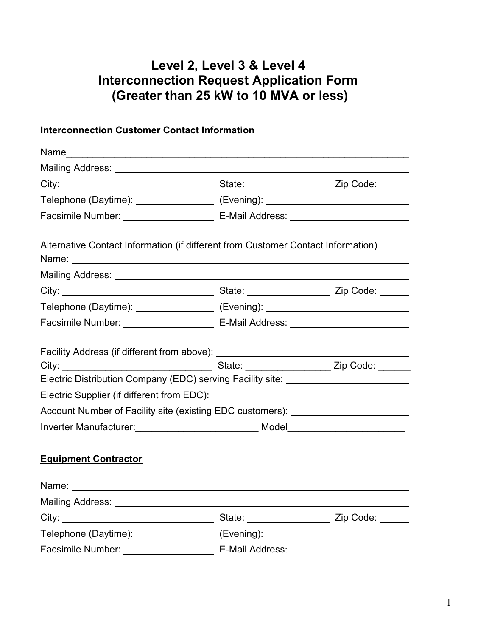# **Level 2, Level 3 & Level 4 Interconnection Request Application Form (Greater than 25 kW to 10 MVA or less)**

# **Interconnection Customer Contact Information**

| Telephone (Daytime): __________________ (Evening): _____________________________                                |  |
|-----------------------------------------------------------------------------------------------------------------|--|
|                                                                                                                 |  |
| Alternative Contact Information (if different from Customer Contact Information)                                |  |
|                                                                                                                 |  |
|                                                                                                                 |  |
| Telephone (Daytime): __________________ (Evening): _____________________________                                |  |
|                                                                                                                 |  |
| Electric Distribution Company (EDC) serving Facility site: _____________________                                |  |
| Account Number of Facility site (existing EDC customers): ______________________                                |  |
|                                                                                                                 |  |
| <b>Equipment Contractor</b>                                                                                     |  |
| Name: Name:                                                                                                     |  |
| Mailing Address: National Address and Address and Address and Address and Address and Address and Address and A |  |
|                                                                                                                 |  |
| Telephone (Daytime): __________________ (Evening): _____________________________                                |  |
| Facsimile Number: ___________________________ E-Mail Address: _________                                         |  |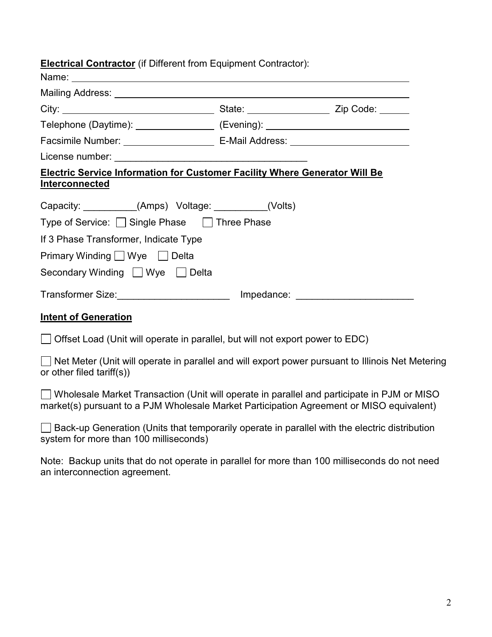| <b>Electrical Contractor</b> (if Different from Equipment Contractor): |
|------------------------------------------------------------------------|
|------------------------------------------------------------------------|

| .                                                                                 |  |
|-----------------------------------------------------------------------------------|--|
|                                                                                   |  |
|                                                                                   |  |
| Telephone (Daytime): _________________ (Evening): ______________________________  |  |
|                                                                                   |  |
|                                                                                   |  |
| <b>Electric Service Information for Customer Facility Where Generator Will Be</b> |  |
| <b>Interconnected</b>                                                             |  |
| Capacity: __________(Amps) Voltage: _________(Volts)                              |  |
| Type of Service: □ Single Phase □ Three Phase                                     |  |
| If 3 Phase Transformer, Indicate Type                                             |  |
| Primary Winding <u>U</u> Wye Delta                                                |  |
| Secondary Winding   Wye   Delta                                                   |  |
|                                                                                   |  |
|                                                                                   |  |

#### **Intent of Generation**

Name:

Offset Load (Unit will operate in parallel, but will not export power to EDC)

 $\Box$  Net Meter (Unit will operate in parallel and will export power pursuant to Illinois Net Metering or other filed tariff(s))

 Wholesale Market Transaction (Unit will operate in parallel and participate in PJM or MISO market(s) pursuant to a PJM Wholesale Market Participation Agreement or MISO equivalent)

 Back-up Generation (Units that temporarily operate in parallel with the electric distribution system for more than 100 milliseconds)

Note: Backup units that do not operate in parallel for more than 100 milliseconds do not need an interconnection agreement.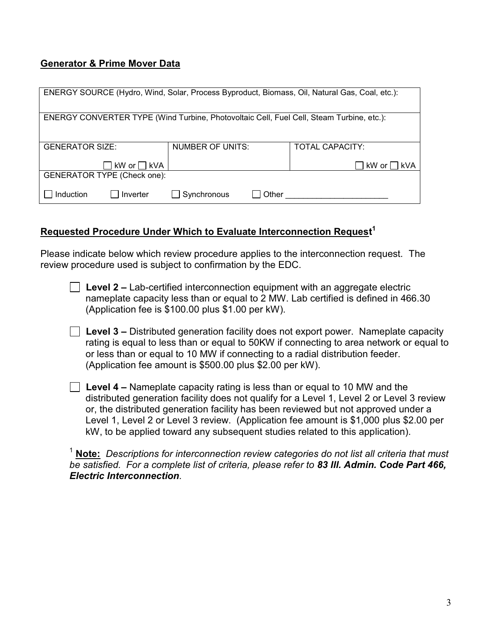### **Generator & Prime Mover Data**

| ENERGY SOURCE (Hydro, Wind, Solar, Process Byproduct, Biomass, Oil, Natural Gas, Coal, etc.): |                         |                        |  |  |
|-----------------------------------------------------------------------------------------------|-------------------------|------------------------|--|--|
| ENERGY CONVERTER TYPE (Wind Turbine, Photovoltaic Cell, Fuel Cell, Steam Turbine, etc.):      |                         |                        |  |  |
| <b>GENERATOR SIZE:</b>                                                                        | <b>NUMBER OF UNITS:</b> | <b>TOTAL CAPACITY:</b> |  |  |
| kW or □ kVA                                                                                   |                         | ∣kW or∣<br>l kVA       |  |  |
| <b>GENERATOR TYPE (Check one):</b>                                                            |                         |                        |  |  |
| Induction<br>Inverter                                                                         | Synchronous<br>Other    |                        |  |  |

### **Requested Procedure Under Which to Evaluate Interconnection Request 1**

Please indicate below which review procedure applies to the interconnection request. The review procedure used is subject to confirmation by the EDC.

- **Level 2 –** Lab-certified interconnection equipment with an aggregate electric nameplate capacity less than or equal to 2 MW. Lab certified is defined in 466.30 (Application fee is \$100.00 plus \$1.00 per kW).
- **Level 3 –** Distributed generation facility does not export power. Nameplate capacity rating is equal to less than or equal to 50KW if connecting to area network or equal to or less than or equal to 10 MW if connecting to a radial distribution feeder. (Application fee amount is \$500.00 plus \$2.00 per kW).
- **Level 4 –** Nameplate capacity rating is less than or equal to 10 MW and the distributed generation facility does not qualify for a Level 1, Level 2 or Level 3 review or, the distributed generation facility has been reviewed but not approved under a Level 1, Level 2 or Level 3 review. (Application fee amount is \$1,000 plus \$2.00 per kW, to be applied toward any subsequent studies related to this application).

<sup>1</sup> **Note:** *Descriptions for interconnection review categories do not list all criteria that must be satisfied. For a complete list of criteria, please refer to 83 Ill. Admin. Code Part 466, Electric Interconnection.*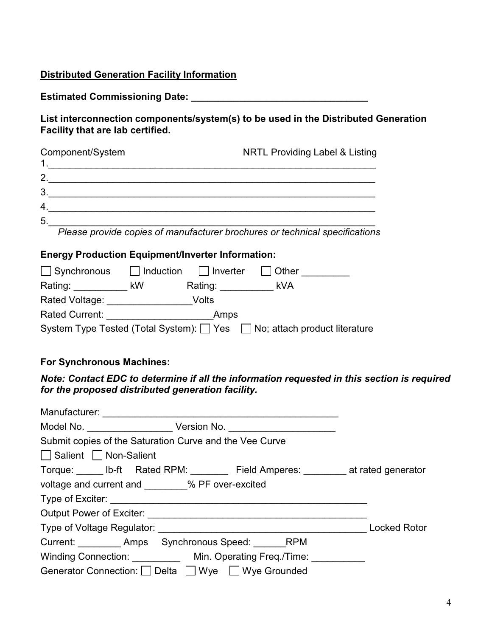### **Distributed Generation Facility Information**

**Estimated Commissioning Date: \_\_\_\_\_\_\_\_\_\_\_\_\_\_\_\_\_\_\_\_\_\_\_\_\_\_\_\_\_\_\_\_\_** 

**List interconnection components/system(s) to be used in the Distributed Generation Facility that are lab certified.** 

| Component/System | <b>NRTL Providing Label &amp; Listing</b> |  |  |
|------------------|-------------------------------------------|--|--|
| 2                |                                           |  |  |
| 3                |                                           |  |  |
| 4                |                                           |  |  |
| 5                |                                           |  |  |

*Please provide copies of manufacturer brochures or technical specifications* 

### **Energy Production Equipment/Inverter Information:**

| $\Box$ Synchronous    | $\vert$   Induction | $\Box$ Inverter | Other                                                                |
|-----------------------|---------------------|-----------------|----------------------------------------------------------------------|
| Rating:               | kW                  | Rating:         | kVA                                                                  |
| Rated Voltage:        |                     | Volts           |                                                                      |
| <b>Rated Current:</b> |                     | Amps            |                                                                      |
|                       |                     |                 | System Type Tested (Total System): Yes No; attach product literature |

### **For Synchronous Machines:**

*Note: Contact EDC to determine if all the information requested in this section is required for the proposed distributed generation facility.* 

| Submit copies of the Saturation Curve and the Vee Curve                           |  |                     |
|-----------------------------------------------------------------------------------|--|---------------------|
| Salient   Non-Salient                                                             |  |                     |
| Torque: _____ lb-ft Rated RPM: ________ Field Amperes: _______ at rated generator |  |                     |
| voltage and current and ________% PF over-excited                                 |  |                     |
|                                                                                   |  |                     |
|                                                                                   |  |                     |
|                                                                                   |  | <b>Locked Rotor</b> |
| Current: Amps Synchronous Speed: RPM                                              |  |                     |
| Winding Connection: ___________ Min. Operating Freq./Time: __________             |  |                     |
| Generator Connection: Delta Wye Wye Grounded                                      |  |                     |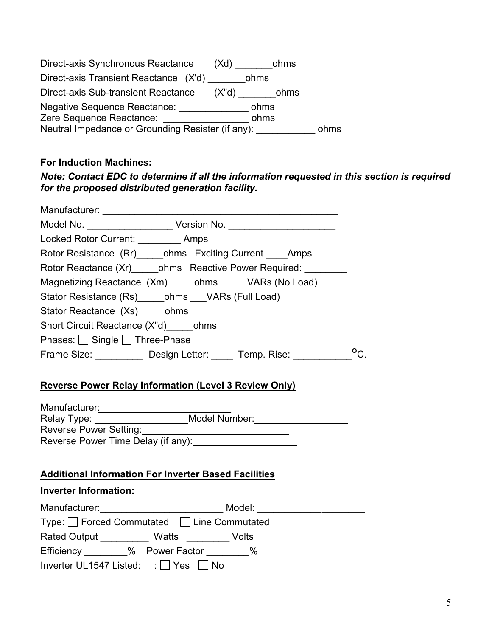| Direct-axis Synchronous Reactance                 | ohms<br>(Xd)            |      |
|---------------------------------------------------|-------------------------|------|
| Direct-axis Transient Reactance (X'd)             | ohms                    |      |
| Direct-axis Sub-transient Reactance               | $(X^{\prime}d)$<br>ohms |      |
| <b>Negative Sequence Reactance:</b>               | ohms                    |      |
| Zere Sequence Reactance:                          | ohms                    |      |
| Neutral Impedance or Grounding Resister (if any): |                         | ohms |

# **For Induction Machines:**

## *Note: Contact EDC to determine if all the information requested in this section is required for the proposed distributed generation facility.*

| Manufacturer: _________________                                                  |
|----------------------------------------------------------------------------------|
| Model No. _______________________ Version No. __________________________________ |
| Locked Rotor Current: __________ Amps                                            |
| Rotor Resistance (Rr) ______ohms Exciting Current _____Amps                      |
| Rotor Reactance (Xr) ohms Reactive Power Required:                               |
| Magnetizing Reactance (Xm)_____ohms ___VARs (No Load)                            |
| Stator Resistance (Rs) ______ ohms _____ VARs (Full Load)                        |
| Stator Reactance (Xs) ohms                                                       |
| Short Circuit Reactance (X"d) ohms                                               |
| Phases: Single Three-Phase                                                       |
| $^{\circ}$ C.<br>Frame Size: Design Letter: Temp. Rise:                          |
| <b>Reverse Power Relay Information (Level 3 Review Only)</b>                     |
|                                                                                  |
| Model Number:<br>Relay Type:                                                     |

| Relay Type:                        | Model Number: |
|------------------------------------|---------------|
| Reverse Power Setting:             |               |
| Reverse Power Time Delay (if any): |               |

### **Additional Information For Inverter Based Facilities**

### **Inverter Information:**

| Manufacturer:                                | Model:                                   |  |
|----------------------------------------------|------------------------------------------|--|
|                                              | Type: Forced Commutated ILine Commutated |  |
| Rated Output <b>Watts</b>                    | Volts                                    |  |
| Efficiency % Power Factor                    | $\%$                                     |  |
| Inverter UL1547 Listed: $\Box$ Yes $\Box$ No |                                          |  |